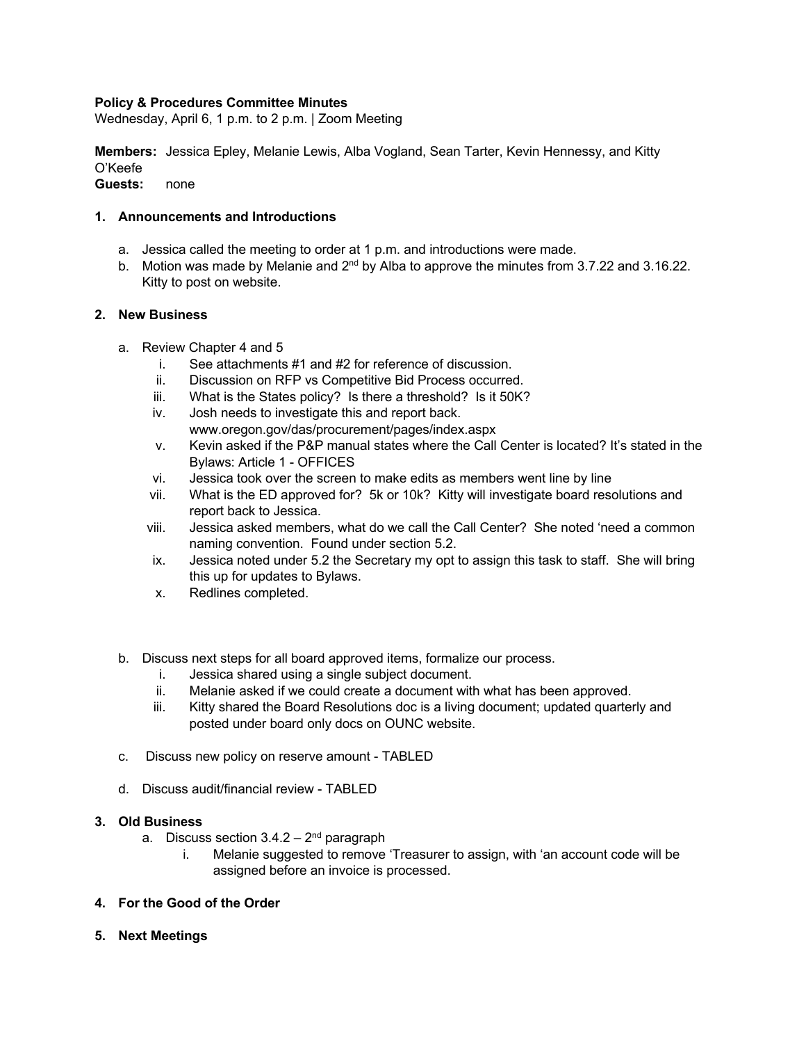# **Policy & Procedures Committee Minutes**

Wednesday, April 6, 1 p.m. to 2 p.m. | Zoom Meeting

**Members:** Jessica Epley, Melanie Lewis, Alba Vogland, Sean Tarter, Kevin Hennessy, and Kitty O'Keefe

**Guests:** none

# **1. Announcements and Introductions**

- a. Jessica called the meeting to order at 1 p.m. and introductions were made.
- b. Motion was made by Melanie and  $2^{nd}$  by Alba to approve the minutes from 3.7.22 and 3.16.22. Kitty to post on website.

# **2. New Business**

- a. Review Chapter 4 and 5
	- i. See attachments #1 and #2 for reference of discussion.
	- ii. Discussion on RFP vs Competitive Bid Process occurred.
	- iii. What is the States policy? Is there a threshold? Is it 50K?
	- iv. Josh needs to investigate this and report back. www.oregon.gov/das/procurement/pages/index.aspx
	- v. Kevin asked if the P&P manual states where the Call Center is located? It's stated in the Bylaws: Article 1 - OFFICES
	- vi. Jessica took over the screen to make edits as members went line by line
	- vii. What is the ED approved for? 5k or 10k? Kitty will investigate board resolutions and report back to Jessica.
	- viii. Jessica asked members, what do we call the Call Center? She noted 'need a common naming convention. Found under section 5.2.
	- ix. Jessica noted under 5.2 the Secretary my opt to assign this task to staff. She will bring this up for updates to Bylaws.
	- x. Redlines completed.
- b. Discuss next steps for all board approved items, formalize our process.
	- i. Jessica shared using a single subject document.
	- ii. Melanie asked if we could create a document with what has been approved.
	- iii. Kitty shared the Board Resolutions doc is a living document; updated quarterly and posted under board only docs on OUNC website.
- c. Discuss new policy on reserve amount TABLED
- d. Discuss audit/financial review TABLED

## **3. Old Business**

- a. Discuss section  $3.4.2 2<sup>nd</sup>$  paragraph
	- i. Melanie suggested to remove 'Treasurer to assign, with 'an account code will be assigned before an invoice is processed.
- **4. For the Good of the Order**
- **5. Next Meetings**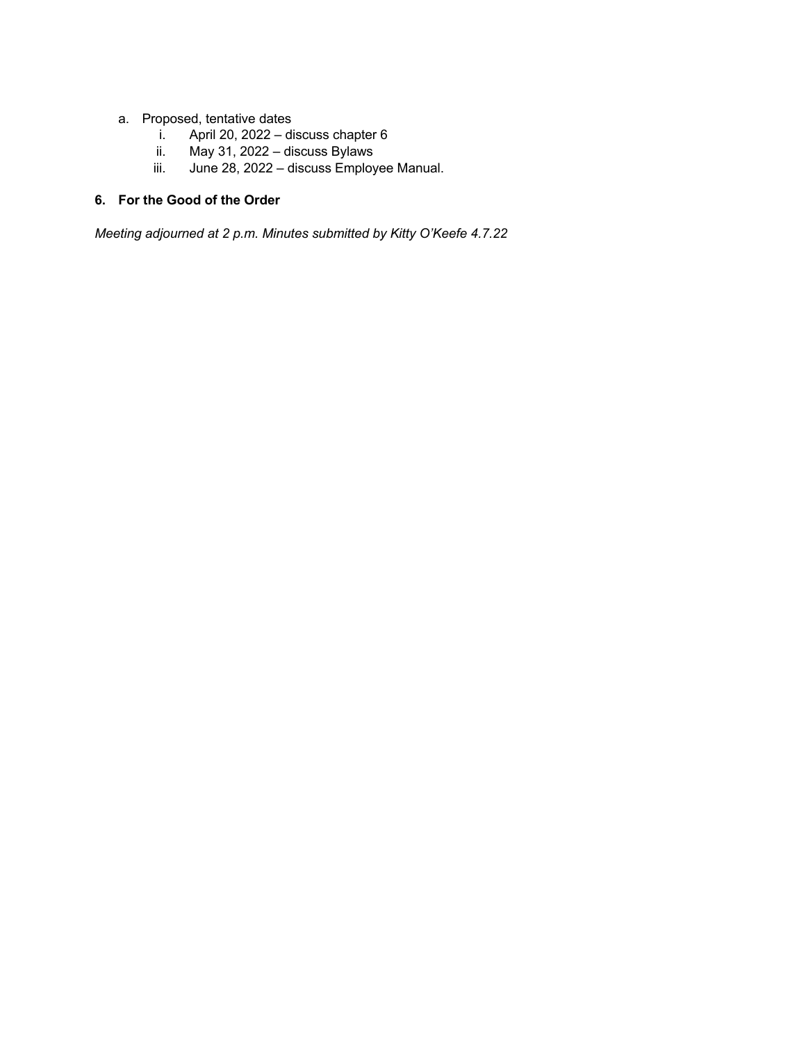# a. Proposed, tentative dates

- i. April 20, 2022 discuss chapter 6
- ii. May 31, 2022 discuss Bylaws
- iii. June 28, 2022 discuss Employee Manual.

# **6. For the Good of the Order**

*Meeting adjourned at 2 p.m. Minutes submitted by Kitty O'Keefe 4.7.22*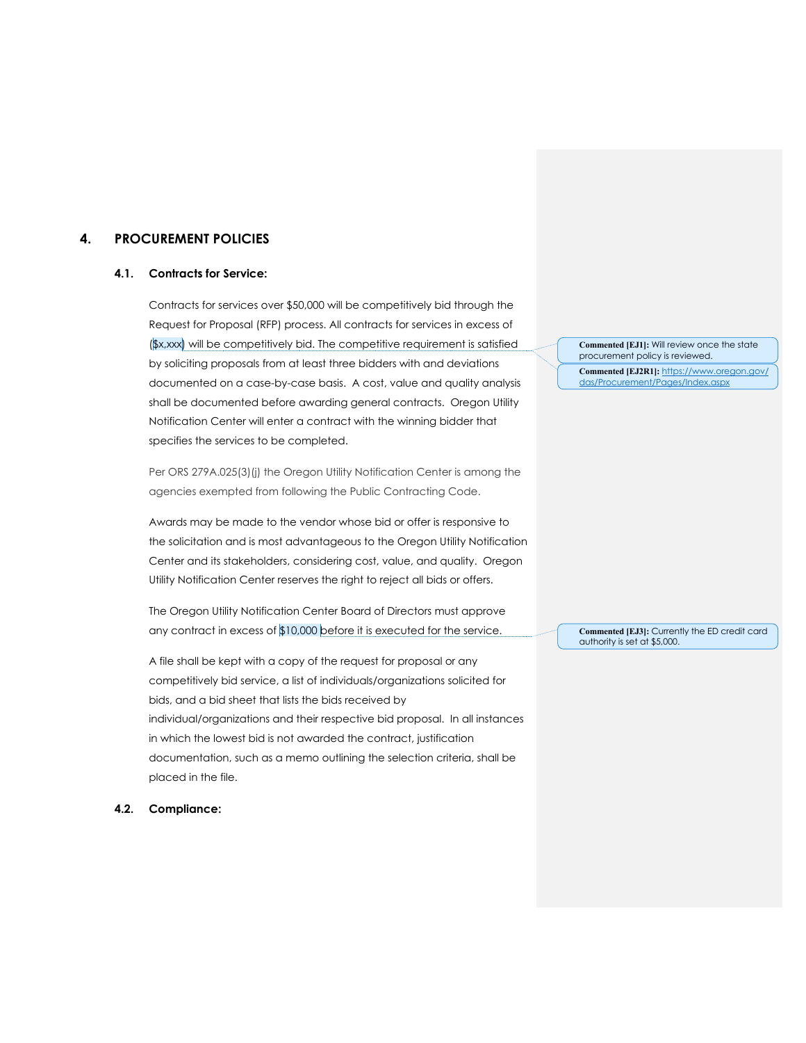## **4. PROCUREMENT POLICIES**

#### **4.1. Contracts for Service:**

Contracts for services over \$50,000 will be competitively bid through the Request for Proposal (RFP) process. All contracts for services in excess of (\$x,xxx) will be competitively bid. The competitive requirement is satisfied by soliciting proposals from at least three bidders with and deviations documented on a case-by-case basis. A cost, value and quality analysis shall be documented before awarding general contracts. Oregon Utility Notification Center will enter a contract with the winning bidder that specifies the services to be completed.

Per ORS 279A.025(3)(j) the Oregon Utility Notification Center is among the agencies exempted from following the Public Contracting Code.

Awards may be made to the vendor whose bid or offer is responsive to the solicitation and is most advantageous to the Oregon Utility Notification Center and its stakeholders, considering cost, value, and quality. Oregon Utility Notification Center reserves the right to reject all bids or offers.

The Oregon Utility Notification Center Board of Directors must approve any contract in excess of \$10,000 before it is executed for the service.

A file shall be kept with a copy of the request for proposal or any competitively bid service, a list of individuals/organizations solicited for bids, and a bid sheet that lists the bids received by individual/organizations and their respective bid proposal. In all instances in which the lowest bid is not awarded the contract, justification documentation, such as a memo outlining the selection criteria, shall be placed in the file.

#### **Commented [EJ1]:** Will review once the state procurement policy is reviewed. **Commented [EJ2R1]:** https://www.oregon.gov/ das/Procurement/Pages/Index.aspx

**Commented [EJ3]:** Currently the ED credit card authority is set at \$5,000.

#### **4.2. Compliance:**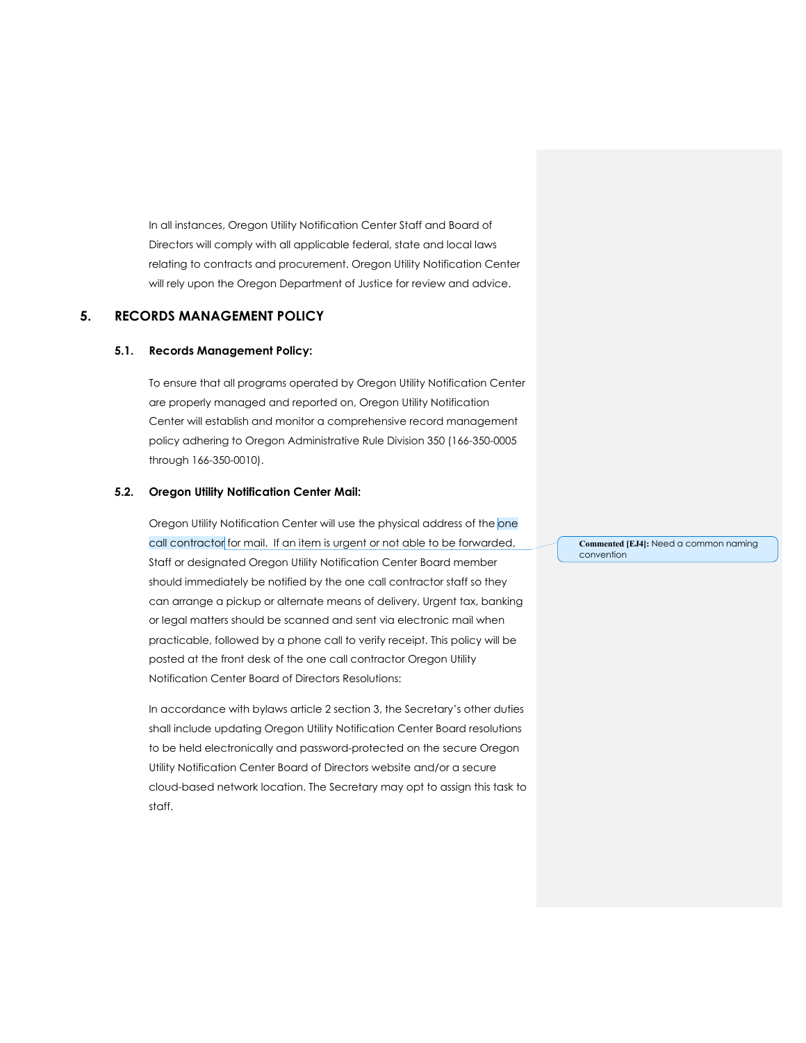In all instances, Oregon Utility Notification Center Staff and Board of Directors will comply with all applicable federal, state and local laws relating to contracts and procurement. Oregon Utility Notification Center will rely upon the Oregon Department of Justice for review and advice.

## **5. RECORDS MANAGEMENT POLICY**

#### **5.1. Records Management Policy:**

To ensure that all programs operated by Oregon Utility Notification Center are properly managed and reported on, Oregon Utility Notification Center will establish and monitor a comprehensive record management policy adhering to Oregon Administrative Rule Division 350 (166-350-0005 through 166-350-0010).

#### **5.2. Oregon Utility Notification Center Mail:**

Oregon Utility Notification Center will use the physical address of the one call contractor for mail. If an item is urgent or not able to be forwarded, Staff or designated Oregon Utility Notification Center Board member should immediately be notified by the one call contractor staff so they can arrange a pickup or alternate means of delivery. Urgent tax, banking or legal matters should be scanned and sent via electronic mail when practicable, followed by a phone call to verify receipt. This policy will be posted at the front desk of the one call contractor Oregon Utility Notification Center Board of Directors Resolutions:

In accordance with bylaws article 2 section 3, the Secretary's other duties shall include updating Oregon Utility Notification Center Board resolutions to be held electronically and password-protected on the secure Oregon Utility Notification Center Board of Directors website and/or a secure cloud-based network location. The Secretary may opt to assign this task to staff.

**Commented [EJ4]:** Need a common naming convention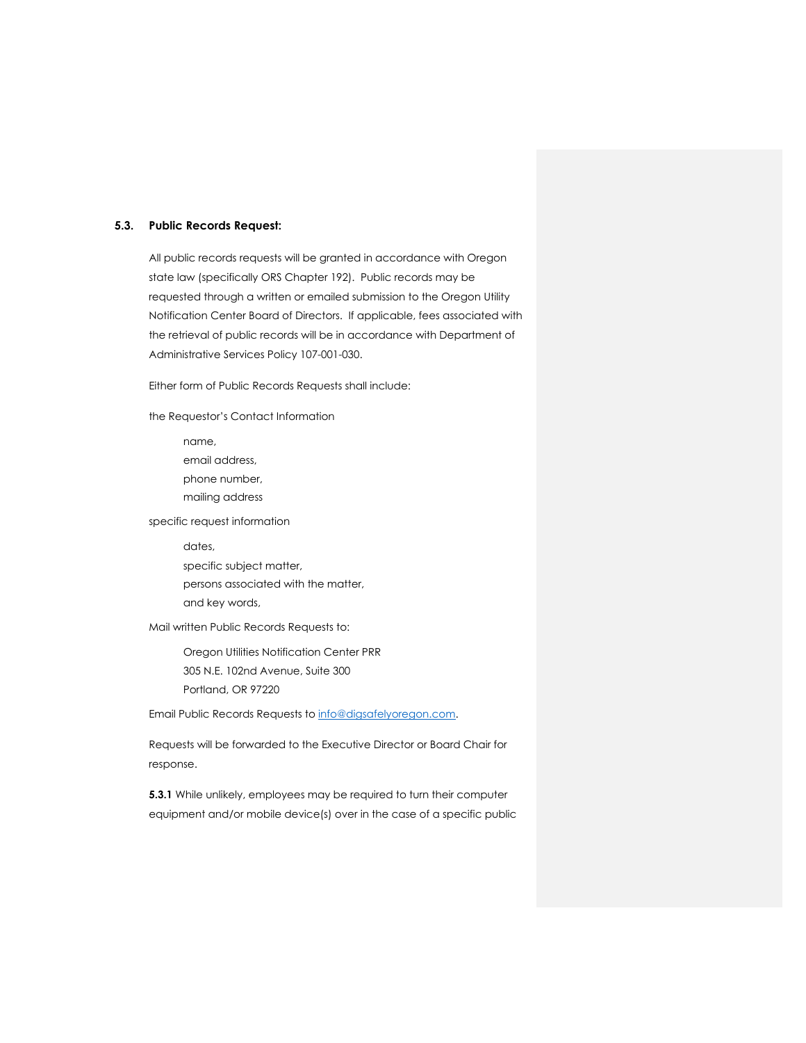#### **5.3. Public Records Request:**

All public records requests will be granted in accordance with Oregon state law (specifically ORS Chapter 192). Public records may be requested through a written or emailed submission to the Oregon Utility Notification Center Board of Directors. If applicable, fees associated with the retrieval of public records will be in accordance with Department of Administrative Services Policy 107-001-030.

Either form of Public Records Requests shall include:

the Requestor's Contact Information

name, email address, phone number, mailing address

specific request information

dates,

specific subject matter, persons associated with the matter, and key words,

Mail written Public Records Requests to:

Oregon Utilities Notification Center PRR 305 N.E. 102nd Avenue, Suite 300 Portland, OR 97220

Email Public Records Requests to info@digsafelyoregon.com.

Requests will be forwarded to the Executive Director or Board Chair for response.

**5.3.1** While unlikely, employees may be required to turn their computer equipment and/or mobile device(s) over in the case of a specific public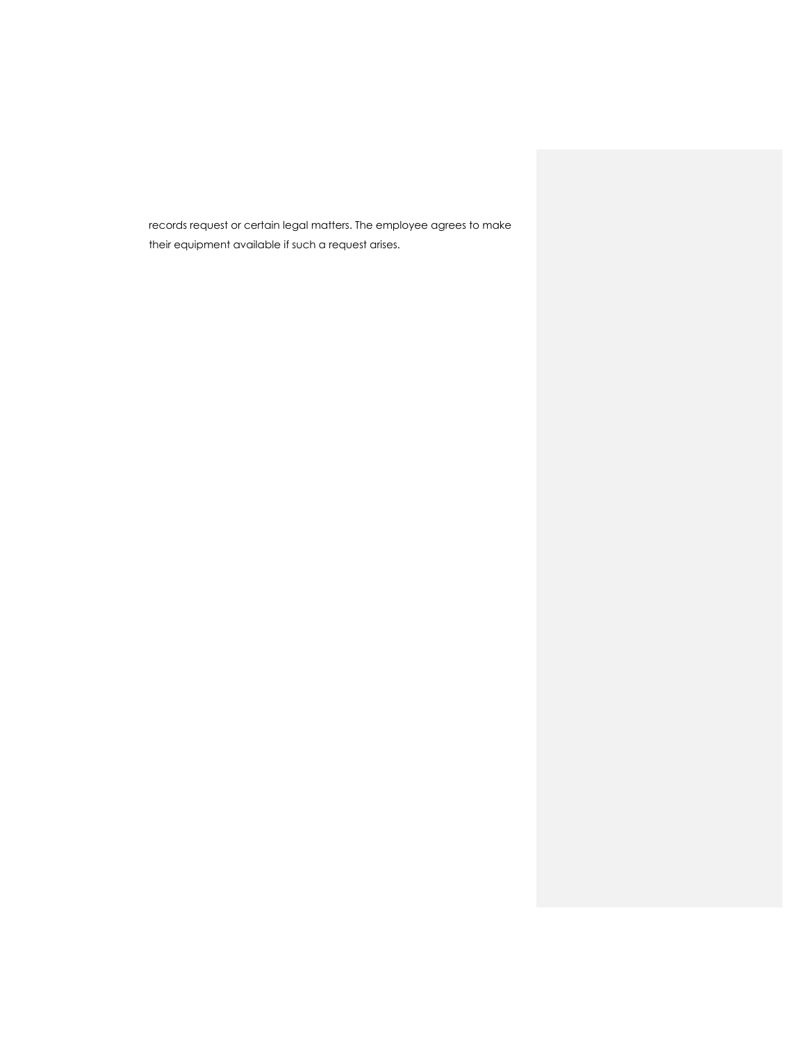records request or certain legal matters. The employee agrees to make their equipment available if such a request arises.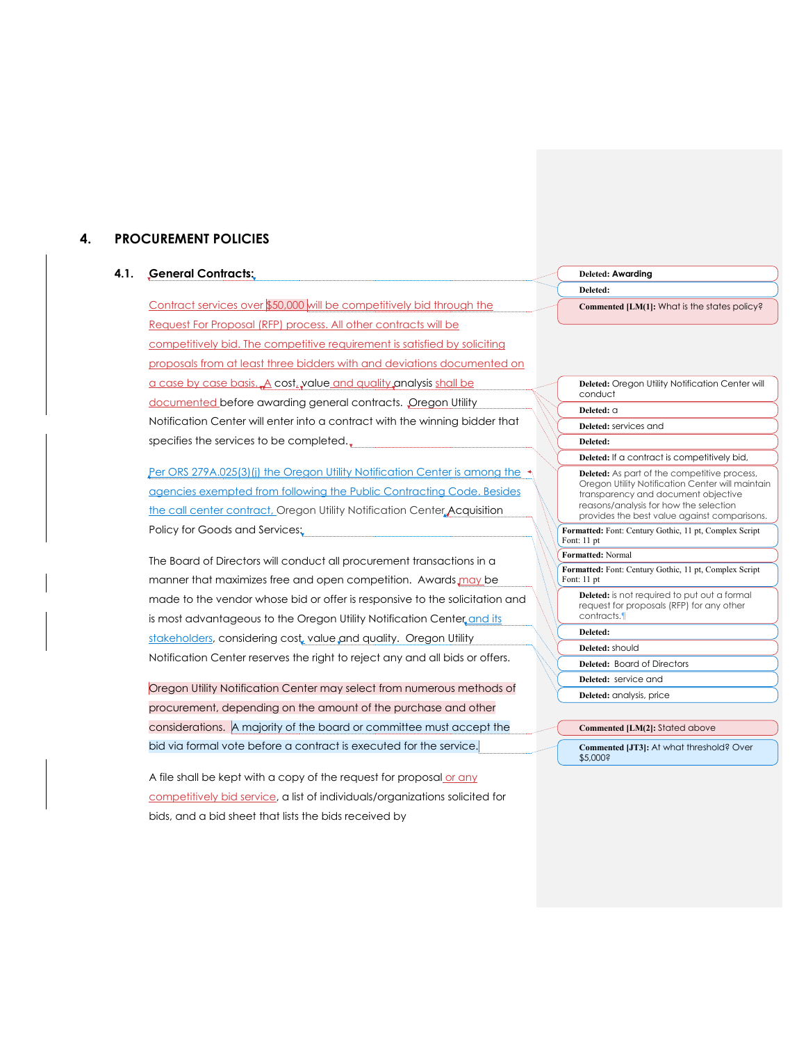## **4. PROCUREMENT POLICIES**

| 4.1. | <b>General Contracts:</b> |
|------|---------------------------|
|      |                           |

Contract services over \$50,000 will be competitively bid through the Request For Proposal (RFP) process. All other contracts will be competitively bid. The competitive requirement is satisfied by soliciting proposals from at least three bidders with and deviations documented on a case by case basis. A cost, value and quality analysis shall be documented before awarding general contracts. Oregon Utility Notification Center will enter into a contract with the winning bidder that specifies the services to be completed.

Per ORS 279A.025(3)(j) the Oregon Utility Notification Center is among the agencies exempted from following the Public Contracting Code. Besides the call center contract, Oregon Utility Notification Center Acquisition Policy for Goods and Services;

The Board of Directors will conduct all procurement transactions in a manner that maximizes free and open competition. Awards may be made to the vendor whose bid or offer is responsive to the solicitation and is most advantageous to the Oregon Utility Notification Center and its stakeholders, considering cost, value and quality. Oregon Utility Notification Center reserves the right to reject any and all bids or offers.

Oregon Utility Notification Center may select from numerous methods of procurement, depending on the amount of the purchase and other considerations. A majority of the board or committee must accept the bid via formal vote before a contract is executed for the service.

A file shall be kept with a copy of the request for proposal or any competitively bid service, a list of individuals/organizations solicited for bids, and a bid sheet that lists the bids received by

**Deleted: Awarding Deleted: Commented [LM(1]:** What is the states policy? **Deleted:** Oregon Utility Notification Center will conduct **Deleted:** a **Deleted:** services and **Deleted: Deleted:** If a contract is competitively bid, **Deleted:** As part of the competitive process, Oregon Utility Notification Center will maintain transparency and document objective reasons/analysis for how the selection provides the best value against comparisons. **Formatted:** Font: Century Gothic, 11 pt, Complex Script Font: 11 pt **Formatted:** Normal **Formatted:** Font: Century Gothic, 11 pt, Complex Script Font: 11 pt **Deleted:** is not required to put out a formal request for proposals (RFP) for any other contracts. **Deleted: Deleted:** should **Deleted:** Board of Directors **Deleted:** service and **Deleted:** analysis, price

#### **Commented [LM(2]:** Stated above

**Commented [JT3]:** At what threshold? Over \$5,000?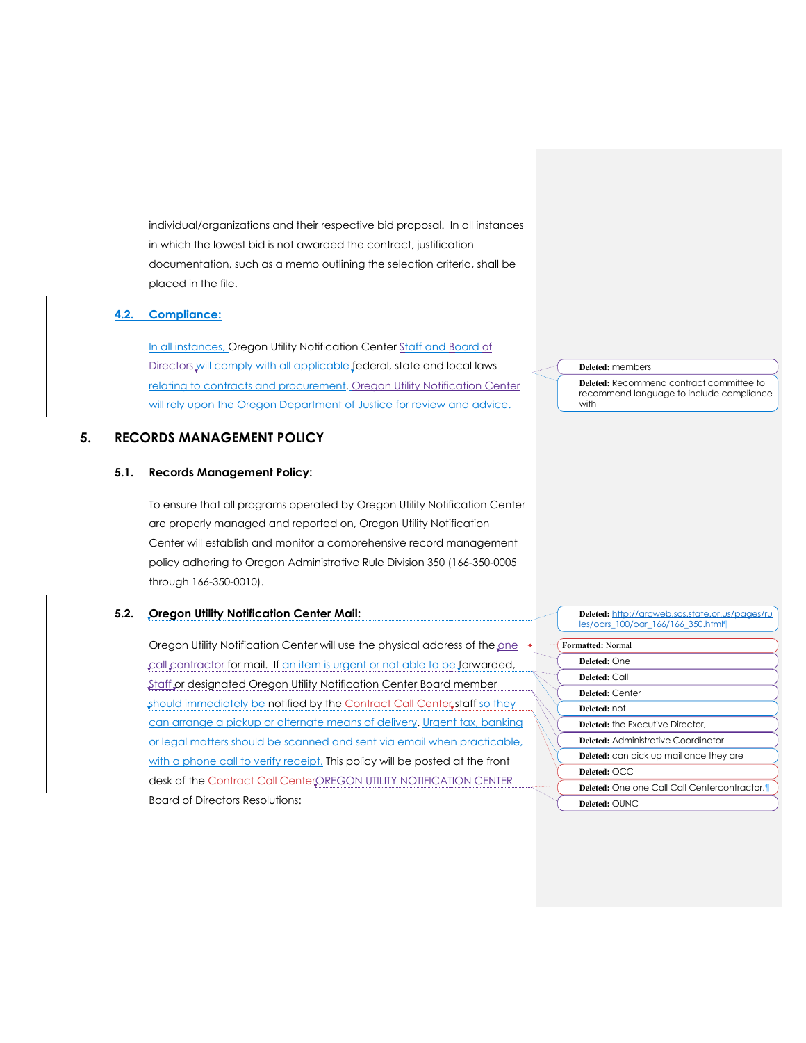individual/organizations and their respective bid proposal. In all instances in which the lowest bid is not awarded the contract, justification documentation, such as a memo outlining the selection criteria, shall be placed in the file.

#### **4.2. Compliance:**

In all instances, Oregon Utility Notification Center Staff and Board of Directors will comply with all applicable federal, state and local laws relating to contracts and procurement. Oregon Utility Notification Center will rely upon the Oregon Department of Justice for review and advice.

## **5. RECORDS MANAGEMENT POLICY**

#### **5.1. Records Management Policy:**

To ensure that all programs operated by Oregon Utility Notification Center are properly managed and reported on, Oregon Utility Notification Center will establish and monitor a comprehensive record management policy adhering to Oregon Administrative Rule Division 350 (166-350-0005 through 166-350-0010).

#### **5.2. Oregon Utility Notification Center Mail:**

Oregon Utility Notification Center will use the physical address of the one call contractor for mail. If an item is urgent or not able to be forwarded, Staff or designated Oregon Utility Notification Center Board member should immediately be notified by the Contract Call Center staff so they can arrange a pickup or alternate means of delivery. Urgent tax, banking or legal matters should be scanned and sent via email when practicable, with a phone call to verify receipt. This policy will be posted at the front desk of the Contract Call Center OREGON UTILITY NOTIFICATION CENTER Board of Directors Resolutions:

## **Deleted:** members

**Deleted:** Recommend contract committee to recommend language to include compliance with

# **Deleted:** http://arcweb.sos.state.or.us/pages/ru les/oars\_100/oar\_166/166\_350.html¶

| <b>Formatted: Normal</b>                            |
|-----------------------------------------------------|
| Deleted: One                                        |
| Deleted: Call                                       |
| Deleted: Center                                     |
| Deleted: not                                        |
| <b>Deleted:</b> the Executive Director.             |
| <b>Deleted:</b> Administrative Coordinator          |
| <b>Deleted:</b> can pick up mail once they are      |
| Deleted: OCC                                        |
| <b>Deleted:</b> One one Call Call Centercontractor. |
| Deleted: OUNC                                       |
|                                                     |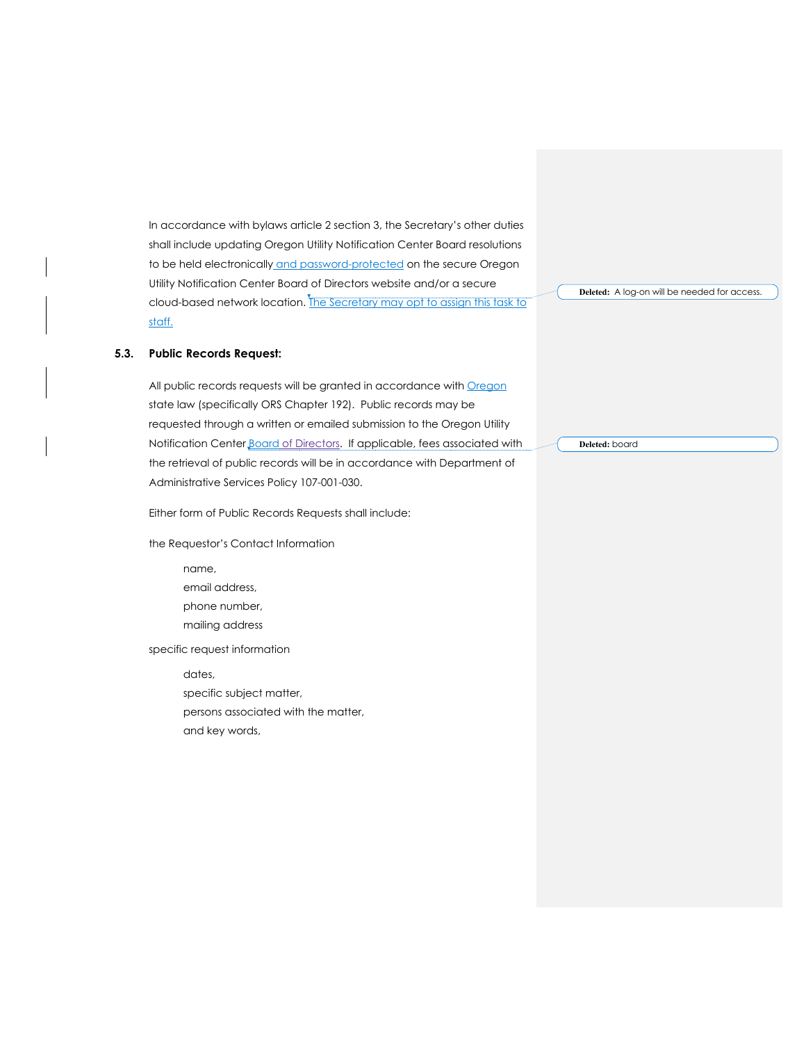In accordance with bylaws article 2 section 3, the Secretary's other duties shall include updating Oregon Utility Notification Center Board resolutions to be held electronically and password-protected on the secure Oregon Utility Notification Center Board of Directors website and/or a secure cloud-based network location. The Secretary may opt to assign this task to staff.

#### **5.3. Public Records Request:**

All public records requests will be granted in accordance with Oregon state law (specifically ORS Chapter 192). Public records may be requested through a written or emailed submission to the Oregon Utility Notification Center Board of Directors. If applicable, fees associated with the retrieval of public records will be in accordance with Department of Administrative Services Policy 107-001-030.

Either form of Public Records Requests shall include:

the Requestor's Contact Information

name, email address, phone number, mailing address

specific request information

dates, specific subject matter, persons associated with the matter, and key words,

**Deleted:** A log-on will be needed for access.

**Deleted:** board